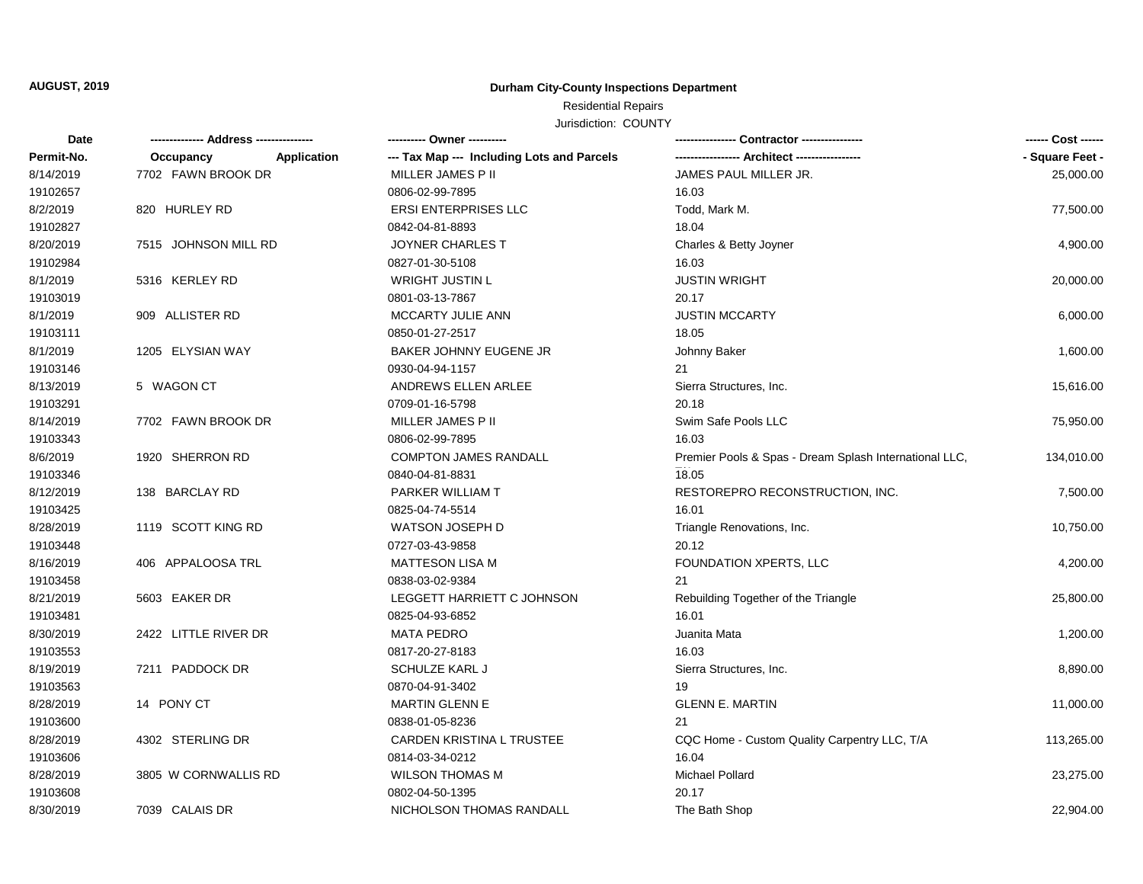## **AUGUST, 2019**

## **Durham City-County Inspections Department**

## Residential Repairs

Jurisdiction: COUNTY

| Date       | -------------- Address --------------- |             | ---------- Owner ----------                |                                                        | ------ Cost ------ |
|------------|----------------------------------------|-------------|--------------------------------------------|--------------------------------------------------------|--------------------|
| Permit-No. | Occupancy                              | Application | --- Tax Map --- Including Lots and Parcels |                                                        | - Square Feet -    |
| 8/14/2019  | 7702 FAWN BROOK DR                     |             | MILLER JAMES P II                          | JAMES PAUL MILLER JR.                                  | 25,000.00          |
| 19102657   |                                        |             | 0806-02-99-7895                            | 16.03                                                  |                    |
| 8/2/2019   | 820 HURLEY RD                          |             | <b>ERSI ENTERPRISES LLC</b>                | Todd, Mark M.                                          | 77,500.00          |
| 19102827   |                                        |             | 0842-04-81-8893                            | 18.04                                                  |                    |
| 8/20/2019  | 7515 JOHNSON MILL RD                   |             | <b>JOYNER CHARLES T</b>                    | Charles & Betty Joyner                                 | 4,900.00           |
| 19102984   |                                        |             | 0827-01-30-5108                            | 16.03                                                  |                    |
| 8/1/2019   | 5316 KERLEY RD                         |             | <b>WRIGHT JUSTIN L</b>                     | <b>JUSTIN WRIGHT</b>                                   | 20,000.00          |
| 19103019   |                                        |             | 0801-03-13-7867                            | 20.17                                                  |                    |
| 8/1/2019   | 909 ALLISTER RD                        |             | MCCARTY JULIE ANN                          | <b>JUSTIN MCCARTY</b>                                  | 6,000.00           |
| 19103111   |                                        |             | 0850-01-27-2517                            | 18.05                                                  |                    |
| 8/1/2019   | 1205 ELYSIAN WAY                       |             | BAKER JOHNNY EUGENE JR                     | Johnny Baker                                           | 1,600.00           |
| 19103146   |                                        |             | 0930-04-94-1157                            | 21                                                     |                    |
| 8/13/2019  | 5 WAGON CT                             |             | ANDREWS ELLEN ARLEE                        | Sierra Structures, Inc.                                | 15,616.00          |
| 19103291   |                                        |             | 0709-01-16-5798                            | 20.18                                                  |                    |
| 8/14/2019  | 7702 FAWN BROOK DR                     |             | MILLER JAMES P II                          | Swim Safe Pools LLC                                    | 75,950.00          |
| 19103343   |                                        |             | 0806-02-99-7895                            | 16.03                                                  |                    |
| 8/6/2019   | 1920 SHERRON RD                        |             | <b>COMPTON JAMES RANDALL</b>               | Premier Pools & Spas - Dream Splash International LLC, | 134,010.00         |
| 19103346   |                                        |             | 0840-04-81-8831                            | 18.05                                                  |                    |
| 8/12/2019  | 138 BARCLAY RD                         |             | PARKER WILLIAM T                           | RESTOREPRO RECONSTRUCTION, INC.                        | 7,500.00           |
| 19103425   |                                        |             | 0825-04-74-5514                            | 16.01                                                  |                    |
| 8/28/2019  | 1119 SCOTT KING RD                     |             | <b>WATSON JOSEPH D</b>                     | Triangle Renovations, Inc.                             | 10,750.00          |
| 19103448   |                                        |             | 0727-03-43-9858                            | 20.12                                                  |                    |
| 8/16/2019  | 406 APPALOOSA TRL                      |             | <b>MATTESON LISA M</b>                     | FOUNDATION XPERTS, LLC                                 | 4,200.00           |
| 19103458   |                                        |             | 0838-03-02-9384                            | 21                                                     |                    |
| 8/21/2019  | 5603 EAKER DR                          |             | LEGGETT HARRIETT C JOHNSON                 | Rebuilding Together of the Triangle                    | 25,800.00          |
| 19103481   |                                        |             | 0825-04-93-6852                            | 16.01                                                  |                    |
| 8/30/2019  | 2422 LITTLE RIVER DR                   |             | <b>MATA PEDRO</b>                          | Juanita Mata                                           | 1,200.00           |
| 19103553   |                                        |             | 0817-20-27-8183                            | 16.03                                                  |                    |
| 8/19/2019  | 7211 PADDOCK DR                        |             | <b>SCHULZE KARL J</b>                      | Sierra Structures, Inc.                                | 8,890.00           |
| 19103563   |                                        |             | 0870-04-91-3402                            | 19                                                     |                    |
| 8/28/2019  | 14 PONY CT                             |             | MARTIN GLENN E                             | <b>GLENN E. MARTIN</b>                                 | 11,000.00          |
| 19103600   |                                        |             | 0838-01-05-8236                            | 21                                                     |                    |
| 8/28/2019  | 4302 STERLING DR                       |             | <b>CARDEN KRISTINA L TRUSTEE</b>           | CQC Home - Custom Quality Carpentry LLC, T/A           | 113,265.00         |
| 19103606   |                                        |             | 0814-03-34-0212                            | 16.04                                                  |                    |
| 8/28/2019  | 3805 W CORNWALLIS RD                   |             | <b>WILSON THOMAS M</b>                     | Michael Pollard                                        | 23,275.00          |
| 19103608   |                                        |             | 0802-04-50-1395                            | 20.17                                                  |                    |
| 8/30/2019  | 7039 CALAIS DR                         |             | NICHOLSON THOMAS RANDALL                   | The Bath Shop                                          | 22,904.00          |